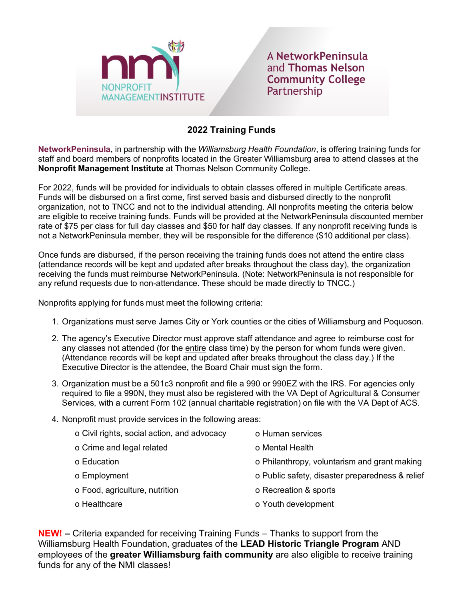

A NetworkPeninsula and Thomas Nelson **Community College** Partnership

## **2022 Training Funds**

**NetworkPeninsula**, in partnership with the *Williamsburg Health Foundation*, is offering training funds for staff and board members of nonprofits located in the Greater Williamsburg area to attend classes at the **Nonprofit Management Institute** at Thomas Nelson Community College.

For 2022, funds will be provided for individuals to obtain classes offered in multiple Certificate areas. Funds will be disbursed on a first come, first served basis and disbursed directly to the nonprofit organization, not to TNCC and not to the individual attending. All nonprofits meeting the criteria below are eligible to receive training funds. Funds will be provided at the NetworkPeninsula discounted member rate of \$75 per class for full day classes and \$50 for half day classes. If any nonprofit receiving funds is not a NetworkPeninsula member, they will be responsible for the difference (\$10 additional per class).

Once funds are disbursed, if the person receiving the training funds does not attend the entire class (attendance records will be kept and updated after breaks throughout the class day), the organization receiving the funds must reimburse NetworkPeninsula. (Note: NetworkPeninsula is not responsible for any refund requests due to non-attendance. These should be made directly to TNCC.)

Nonprofits applying for funds must meet the following criteria:

- 1. Organizations must serve James City or York counties or the cities of Williamsburg and Poquoson.
- 2. The agency's Executive Director must approve staff attendance and agree to reimburse cost for any classes not attended (for the entire class time) by the person for whom funds were given. (Attendance records will be kept and updated after breaks throughout the class day.) If the Executive Director is the attendee, the Board Chair must sign the form.
- 3. Organization must be a 501c3 nonprofit and file a 990 or 990EZ with the IRS. For agencies only required to file a 990N, they must also be registered with the VA Dept of Agricultural & Consumer Services, with a current Form 102 (annual charitable registration) on file with the VA Dept of ACS.
- 4. Nonprofit must provide services in the following areas:

| o Civil rights, social action, and advocacy | o Human services                                |
|---------------------------------------------|-------------------------------------------------|
| o Crime and legal related                   | o Mental Health                                 |
| o Education                                 | o Philanthropy, voluntarism and grant making    |
| o Employment                                | o Public safety, disaster preparedness & relief |
| o Food, agriculture, nutrition              | o Recreation & sports                           |
| o Healthcare                                | o Youth development                             |

**NEW! –** Criteria expanded for receiving Training Funds – Thanks to support from the Williamsburg Health Foundation, graduates of the **LEAD Historic Triangle Program** AND employees of the **greater Williamsburg faith community** are also eligible to receive training funds for any of the NMI classes!